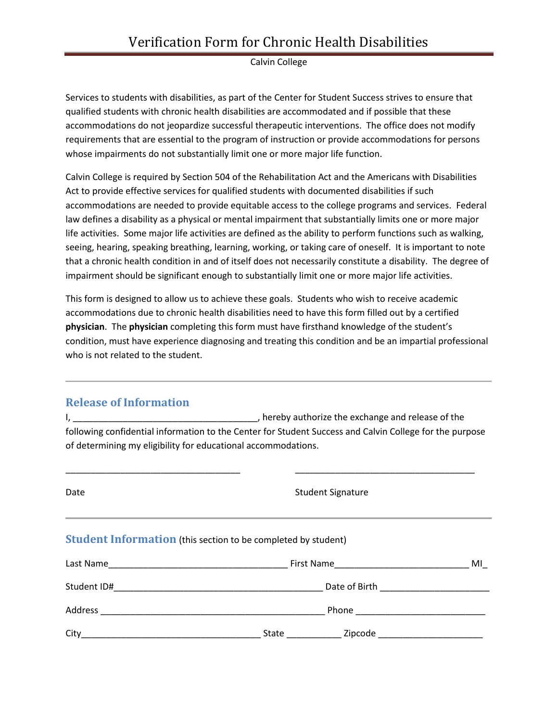## Verification Form for Chronic Health Disabilities

#### Calvin College

Services to students with disabilities, as part of the Center for Student Success strives to ensure that qualified students with chronic health disabilities are accommodated and if possible that these accommodations do not jeopardize successful therapeutic interventions. The office does not modify requirements that are essential to the program of instruction or provide accommodations for persons whose impairments do not substantially limit one or more major life function.

Calvin College is required by Section 504 of the Rehabilitation Act and the Americans with Disabilities Act to provide effective services for qualified students with documented disabilities if such accommodations are needed to provide equitable access to the college programs and services. Federal law defines a disability as a physical or mental impairment that substantially limits one or more major life activities. Some major life activities are defined as the ability to perform functions such as walking, seeing, hearing, speaking breathing, learning, working, or taking care of oneself. It is important to note that a chronic health condition in and of itself does not necessarily constitute a disability. The degree of impairment should be significant enough to substantially limit one or more major life activities.

This form is designed to allow us to achieve these goals. Students who wish to receive academic accommodations due to chronic health disabilities need to have this form filled out by a certified **physician**. The **physician** completing this form must have firsthand knowledge of the student's condition, must have experience diagnosing and treating this condition and be an impartial professional who is not related to the student.

### **Release of Information**

I, \_\_\_\_\_\_\_\_\_\_\_\_\_\_\_\_\_\_\_\_\_\_\_\_\_\_\_\_\_\_\_\_\_\_\_\_\_, hereby authorize the exchange and release of the following confidential information to the Center for Student Success and Calvin College for the purpose of determining my eligibility for educational accommodations.

\_\_\_\_\_\_\_\_\_\_\_\_\_\_\_\_\_\_\_\_\_\_\_\_\_\_\_\_\_\_\_\_\_\_\_ \_\_\_\_\_\_\_\_\_\_\_\_\_\_\_\_\_\_\_\_\_\_\_\_\_\_\_\_\_\_\_\_\_\_\_\_

| Date | <b>Student Signature</b>                                                |    |  |  |
|------|-------------------------------------------------------------------------|----|--|--|
|      | <b>Student Information</b> (this section to be completed by student)    |    |  |  |
|      |                                                                         | MI |  |  |
|      |                                                                         |    |  |  |
|      |                                                                         |    |  |  |
| City | <b>Exercise 2</b> <i>Zipcode Company</i> <b><i>Company</i></b><br>State |    |  |  |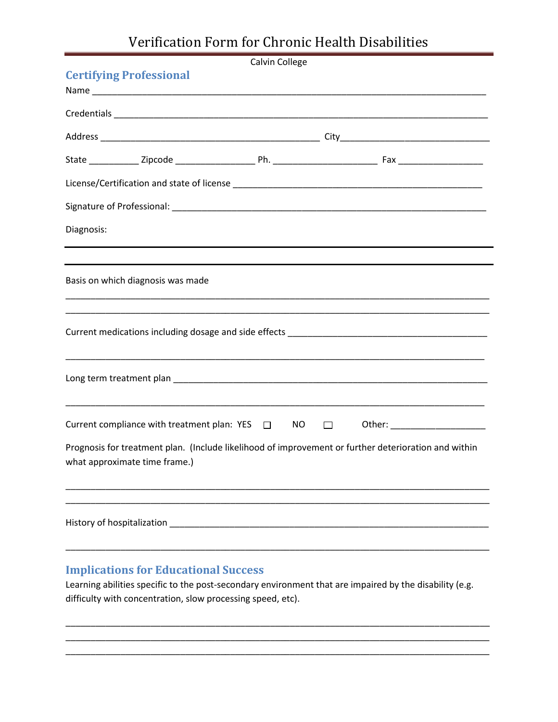# Verification Form for Chronic Health Disabilities

| Calvin College                                                                                                                        |     |        |                                                                                  |  |  |
|---------------------------------------------------------------------------------------------------------------------------------------|-----|--------|----------------------------------------------------------------------------------|--|--|
| <b>Certifying Professional</b>                                                                                                        |     |        |                                                                                  |  |  |
|                                                                                                                                       |     |        |                                                                                  |  |  |
|                                                                                                                                       |     |        |                                                                                  |  |  |
|                                                                                                                                       |     |        |                                                                                  |  |  |
|                                                                                                                                       |     |        |                                                                                  |  |  |
|                                                                                                                                       |     |        |                                                                                  |  |  |
|                                                                                                                                       |     |        |                                                                                  |  |  |
| Diagnosis:                                                                                                                            |     |        |                                                                                  |  |  |
|                                                                                                                                       |     |        |                                                                                  |  |  |
| Basis on which diagnosis was made                                                                                                     |     |        |                                                                                  |  |  |
|                                                                                                                                       |     |        |                                                                                  |  |  |
|                                                                                                                                       |     |        | ,我们也不能在这里的时候,我们也不能在这里的时候,我们也不能在这里的时候,我们也不能会不能在这里的时候,我们也不能会不能会不能会不能会不能会不能会不能会不能会不 |  |  |
| Current compliance with treatment plan: $YES$ $\square$                                                                               | NO. | $\Box$ | Other: ____________________                                                      |  |  |
| Prognosis for treatment plan. (Include likelihood of improvement or further deterioration and within<br>what approximate time frame.) |     |        |                                                                                  |  |  |
|                                                                                                                                       |     |        |                                                                                  |  |  |
|                                                                                                                                       |     |        |                                                                                  |  |  |

## **Implications for Educational Success**

Learning abilities specific to the post-secondary environment that are impaired by the disability (e.g. difficulty with concentration, slow processing speed, etc).

\_\_\_\_\_\_\_\_\_\_\_\_\_\_\_\_\_\_\_\_\_\_\_\_\_\_\_\_\_\_\_\_\_\_\_\_\_\_\_\_\_\_\_\_\_\_\_\_\_\_\_\_\_\_\_\_\_\_\_\_\_\_\_\_\_\_\_\_\_\_\_\_\_\_\_\_\_\_\_\_\_\_\_\_\_ \_\_\_\_\_\_\_\_\_\_\_\_\_\_\_\_\_\_\_\_\_\_\_\_\_\_\_\_\_\_\_\_\_\_\_\_\_\_\_\_\_\_\_\_\_\_\_\_\_\_\_\_\_\_\_\_\_\_\_\_\_\_\_\_\_\_\_\_\_\_\_\_\_\_\_\_\_\_\_\_\_\_\_\_\_ \_\_\_\_\_\_\_\_\_\_\_\_\_\_\_\_\_\_\_\_\_\_\_\_\_\_\_\_\_\_\_\_\_\_\_\_\_\_\_\_\_\_\_\_\_\_\_\_\_\_\_\_\_\_\_\_\_\_\_\_\_\_\_\_\_\_\_\_\_\_\_\_\_\_\_\_\_\_\_\_\_\_\_\_\_